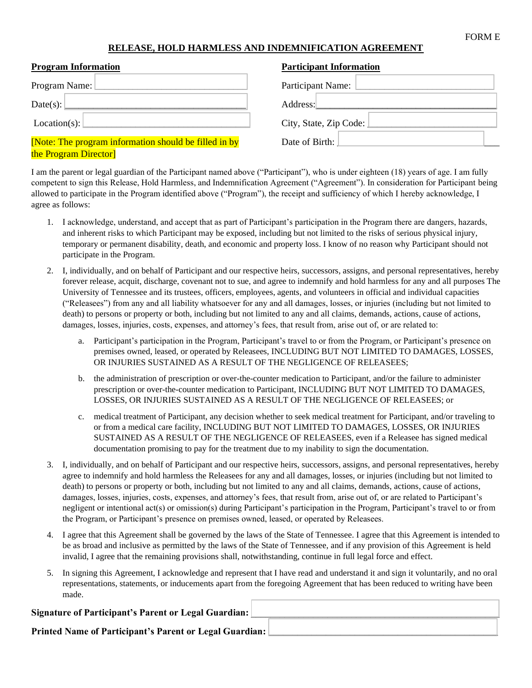## FORM E

## **RELEASE, HOLD HARMLESS AND INDEMNIFICATION AGREEMENT**

| <b>Program Information</b>                            | <b>Participant Information</b> |
|-------------------------------------------------------|--------------------------------|
| Program Name:                                         | Participant Name:              |
| Date(s): $\lfloor$                                    | Address:                       |
| Location(s):                                          | City, State, Zip Code: 1       |
| [Note: The program information should be filled in by | Date of Birth:                 |
| the Program Director                                  |                                |

I am the parent or legal guardian of the Participant named above ("Participant"), who is under eighteen (18) years of age. I am fully competent to sign this Release, Hold Harmless, and Indemnification Agreement ("Agreement"). In consideration for Participant being allowed to participate in the Program identified above ("Program"), the receipt and sufficiency of which I hereby acknowledge, I agree as follows:

- 1. I acknowledge, understand, and accept that as part of Participant's participation in the Program there are dangers, hazards, and inherent risks to which Participant may be exposed, including but not limited to the risks of serious physical injury, temporary or permanent disability, death, and economic and property loss. I know of no reason why Participant should not participate in the Program.
- 2. I, individually, and on behalf of Participant and our respective heirs, successors, assigns, and personal representatives, hereby forever release, acquit, discharge, covenant not to sue, and agree to indemnify and hold harmless for any and all purposes The University of Tennessee and its trustees, officers, employees, agents, and volunteers in official and individual capacities ("Releasees") from any and all liability whatsoever for any and all damages, losses, or injuries (including but not limited to death) to persons or property or both, including but not limited to any and all claims, demands, actions, cause of actions, damages, losses, injuries, costs, expenses, and attorney's fees, that result from, arise out of, or are related to:
	- a. Participant's participation in the Program, Participant's travel to or from the Program, or Participant's presence on premises owned, leased, or operated by Releasees, INCLUDING BUT NOT LIMITED TO DAMAGES, LOSSES, OR INJURIES SUSTAINED AS A RESULT OF THE NEGLIGENCE OF RELEASEES;
	- b. the administration of prescription or over-the-counter medication to Participant, and/or the failure to administer prescription or over-the-counter medication to Participant, INCLUDING BUT NOT LIMITED TO DAMAGES, LOSSES, OR INJURIES SUSTAINED AS A RESULT OF THE NEGLIGENCE OF RELEASEES; or
	- c. medical treatment of Participant, any decision whether to seek medical treatment for Participant, and/or traveling to or from a medical care facility, INCLUDING BUT NOT LIMITED TO DAMAGES, LOSSES, OR INJURIES SUSTAINED AS A RESULT OF THE NEGLIGENCE OF RELEASEES, even if a Releasee has signed medical documentation promising to pay for the treatment due to my inability to sign the documentation.
- 3. I, individually, and on behalf of Participant and our respective heirs, successors, assigns, and personal representatives, hereby agree to indemnify and hold harmless the Releasees for any and all damages, losses, or injuries (including but not limited to death) to persons or property or both, including but not limited to any and all claims, demands, actions, cause of actions, damages, losses, injuries, costs, expenses, and attorney's fees, that result from, arise out of, or are related to Participant's negligent or intentional act(s) or omission(s) during Participant's participation in the Program, Participant's travel to or from the Program, or Participant's presence on premises owned, leased, or operated by Releasees.
- 4. I agree that this Agreement shall be governed by the laws of the State of Tennessee. I agree that this Agreement is intended to be as broad and inclusive as permitted by the laws of the State of Tennessee, and if any provision of this Agreement is held invalid, I agree that the remaining provisions shall, notwithstanding, continue in full legal force and effect.
- 5. In signing this Agreement, I acknowledge and represent that I have read and understand it and sign it voluntarily, and no oral representations, statements, or inducements apart from the foregoing Agreement that has been reduced to writing have been made.

## Signature of Participant's Parent or Legal Guardian:

Printed Name of Participant's Parent or Legal Guardian: